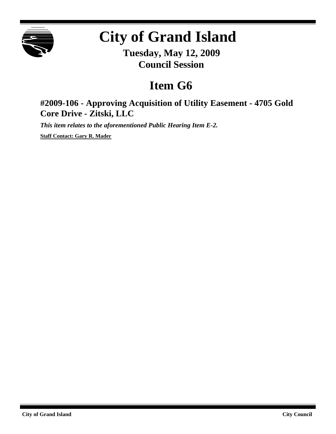

# **City of Grand Island**

**Tuesday, May 12, 2009 Council Session**

## **Item G6**

### **#2009-106 - Approving Acquisition of Utility Easement - 4705 Gold Core Drive - Zitski, LLC**

*This item relates to the aforementioned Public Hearing Item E-2.*

**Staff Contact: Gary R. Mader**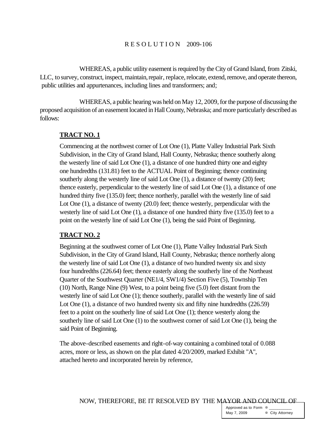#### R E S O L U T I O N 2009-106

WHEREAS, a public utility easement is required by the City of Grand Island, from Zitski, LLC, to survey, construct, inspect, maintain, repair, replace, relocate, extend, remove, and operate thereon, public utilities and appurtenances, including lines and transformers; and;

WHEREAS, a public hearing was held on May 12, 2009, for the purpose of discussing the proposed acquisition of an easement located in Hall County, Nebraska; and more particularly described as follows:

#### **TRACT NO. 1**

Commencing at the northwest corner of Lot One (1), Platte Valley Industrial Park Sixth Subdivision, in the City of Grand Island, Hall County, Nebraska; thence southerly along the westerly line of said Lot One (1), a distance of one hundred thirty one and eighty one hundredths (131.81) feet to the ACTUAL Point of Beginning; thence continuing southerly along the westerly line of said Lot One (1), a distance of twenty (20) feet; thence easterly, perpendicular to the westerly line of said Lot One (1), a distance of one hundred thirty five (135.0) feet; thence northerly, parallel with the westerly line of said Lot One (1), a distance of twenty (20.0) feet; thence westerly, perpendicular with the westerly line of said Lot One (1), a distance of one hundred thirty five (135.0) feet to a point on the westerly line of said Lot One (1), being the said Point of Beginning.

#### **TRACT NO. 2**

Beginning at the southwest corner of Lot One (1), Platte Valley Industrial Park Sixth Subdivision, in the City of Grand Island, Hall County, Nebraska; thence northerly along the westerly line of said Lot One (1), a distance of two hundred twenty six and sixty four hundredths (226.64) feet; thence easterly along the southerly line of the Northeast Quarter of the Southwest Quarter (NE1/4, SW1/4) Section Five (5), Township Ten (10) North, Range Nine (9) West, to a point being five (5.0) feet distant from the westerly line of said Lot One (1); thence southerly, parallel with the westerly line of said Lot One (1), a distance of two hundred twenty six and fifty nine hundredths (226.59) feet to a point on the southerly line of said Lot One (1); thence westerly along the southerly line of said Lot One (1) to the southwest corner of said Lot One (1), being the said Point of Beginning.

The above-described easements and right-of-way containing a combined total of 0.088 acres, more or less, as shown on the plat dated 4/20/2009, marked Exhibit "A", attached hereto and incorporated herein by reference,

NOW, THEREFORE, BE IT RESOLVED BY THE MAYOR AND COUNCIL OF

Approved as to Form  $\pi$ May 7, 2009 **¤** City Attorney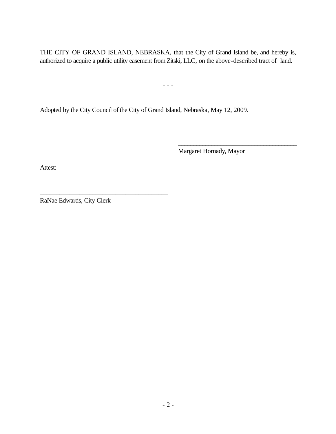THE CITY OF GRAND ISLAND, NEBRASKA, that the City of Grand Island be, and hereby is, authorized to acquire a public utility easement fromZitski, LLC, on the above-described tract of land.

- - -

Adopted by the City Council of the City of Grand Island, Nebraska, May 12, 2009.

Margaret Hornady, Mayor

\_\_\_\_\_\_\_\_\_\_\_\_\_\_\_\_\_\_\_\_\_\_\_\_\_\_\_\_\_\_\_\_\_\_\_\_\_\_\_

Attest:

RaNae Edwards, City Clerk

\_\_\_\_\_\_\_\_\_\_\_\_\_\_\_\_\_\_\_\_\_\_\_\_\_\_\_\_\_\_\_\_\_\_\_\_\_\_\_